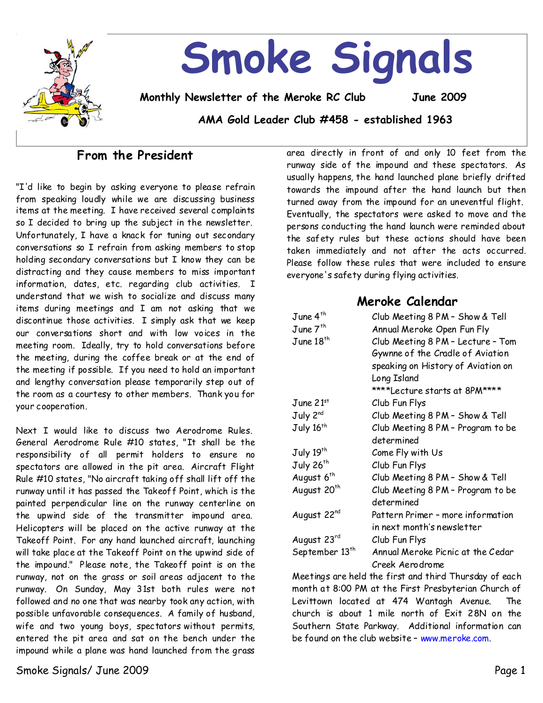

# **From the President**

"I'd like to begin by asking everyone to please refrain from speaking loudly while we are discussing business items at the meeting. I have received several complaints so I decided to bring up the subject in the newsletter. Unfortunately, I have a knack for tuning out secondary conversations so I refrain from asking members tostop holding secondary conversations but I know they can be distracting and they cause members to miss important information, dates, etc. regarding club activities. I understand that we wish to socialize and discuss many items during meetings and I am not asking that we discontinue those activities. I simply ask that we keep our conversations short and with low voices in the meeting room. Ideally, try to hold conversations before the meeting, during the coffee break or at the end of the meeting if possible. If you need to hold an important and lengthy conversation please temporarily step out of the room as a courtesy to other members. Thank you for your cooperation.

Next I would like to discuss two Aerodrome Rules. General Aerodrome Rule #10 states,"It shall be the responsibility of all permit holders to ensure no spectators are allowed in the pit area. Aircraft Flight Rule #10 states, "No aircraft taking off shall lift off the runway until it has passed the Takeoff Point, which is the painted perpendicular line on the runway centerline on the upwind side of the transmitter impound area. Helicopters will be placed on the active runway at the Takeoff Point. For any hand launched aircraft, launching will take place at the Takeoff Point on the upwind side of the impound." Please note, the Takeoff point is on the runway, not on the grass or soil areas adjacent to the runway. On Sunday, May 31st both rules were not followed and no one that was nearby took any action, with possible unfavorable consequences. A family of husband, wife and two young boys, spectators without permits, entered the pit area and sat on the bench under the impound while a plane was hand launched from the grass

area directly in front of and only 10 feet from the runway side of the impound and these spectators. As usually happens, the hand launched plane briefly drifted towards the impound after the hand launch but then turned away from the impound for an uneventful flight. Eventually, the spectators were asked to move and the persons conducting the hand launch were reminded about the safety rules but these actions should have been taken immediately and not after the acts occurred. Please follow these rules that were included to ensure everyone's safety during flying activities.

### **Meroke Calendar**

| June 4 <sup>th</sup>       | Club Meeting 8 PM - Show & Tell                                       |  |  |
|----------------------------|-----------------------------------------------------------------------|--|--|
| June $7th$                 | Annual Meroke Open Fun Fly                                            |  |  |
| June 18 <sup>th</sup>      | Club Meeting 8 PM - Lecture - Tom<br>Gywnne of the Cradle of Aviation |  |  |
|                            | speaking on History of Aviation on<br>Long Island                     |  |  |
|                            | ****Lecture starts at 8PM****                                         |  |  |
| June $21st$                | Club Fun Flys                                                         |  |  |
| July 2 <sup>nd</sup>       | Club Meeting 8 PM - Show & Tell                                       |  |  |
|                            |                                                                       |  |  |
| July 16 <sup>th</sup>      | Club Meeting 8 PM - Program to be<br>determined                       |  |  |
| July 19th                  | Come Fly with Us                                                      |  |  |
| July 26 <sup>th</sup>      | Club Fun Flys                                                         |  |  |
| August 6 <sup>th</sup>     | Club Meeting 8 PM - Show & Tell                                       |  |  |
| August 20 <sup>th</sup>    | Club Meeting 8 PM - Program to be                                     |  |  |
|                            | determined                                                            |  |  |
| August 22nd                | Pattern Primer - more information                                     |  |  |
|                            | in next month's newsletter                                            |  |  |
| August 23rd                | Club Fun Flys                                                         |  |  |
| September 13 <sup>th</sup> | Annual Meroke Picnic at the Cedar                                     |  |  |
|                            | Creek Aerodrome                                                       |  |  |

Meetings are held the first and third Thursday of each month at 8:00 PM at the First Presbyterian Church of Levittown located at 474 Wantagh Avenue. The church is about 1 mile north of Exit 28N on the Southern State Parkway. Additional information can be found on the club website–www.meroke.com.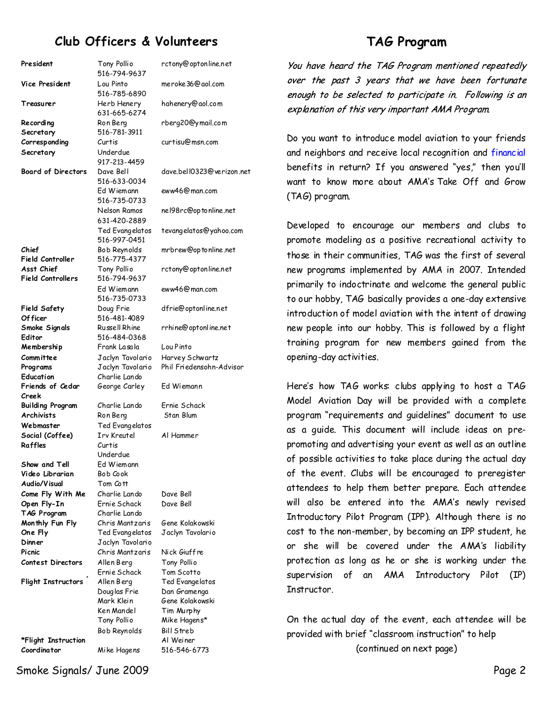# **Club Officers & Volunteers**

| <b>TAG Program</b> |
|--------------------|
|--------------------|

President Tony Pollio 516-794-9637 rctony@optonline.net **Vice President** Lou Pinto 516-785-6890 meroke36@aol.com **Treasurer** Herb Henery 631-665-6274 hahenery@aol.com **Recording Secretary** Ron Berg 516-781-3911 rberg20@ymail.com **Corresponding Secretary** Curtis Underdue 917-213-4459 curtisu@msn.com **Board of Directors** Dave Bell 516-633-0034 dave.bell0323@verizon.net Ed Wiemann 516-735-0733 eww46@man.com Nelson Ramos 631-420-2889 nel98rc@optonline.net Ted Evangelatos 516-997-0451 **Chief Field Controller** Bob Reynolds 516-775-4377 **Asst Chief Field Controllers** Tony Pollio 516-794-9637 Ed Wiemann 516-735-0733 **Field Safety Of ficer** Doug Frie 516-481-4089 **Smoke Signals Editor** Russell Rhine 516-484-0368 **Membership Committee** Frank Lasala Jaclyn Tavolario **Programs** Jaclyn Tavolario Phil Friedensohn-Advisor **Education** Charlie Lando **Friends of Cedar Creek** George Carley Ed Wiemann **Building Program**  Charlie Lando Ernie Schack **Archivists** Ron Berg Stan Blum **Webmaster** Ted Evangelatos **Social (Coffee)** Irv Kreutel Al Hammer **Raffles** Curtis Underdue **Show and Tell**  Ed Wiemann **Video Librarian** Bob Cook **Audio/Visual**  Tom Cott **Come Fly With Me** Charlie Lando Dave Bell **Open Fly-In** Ernie Schack Dave Bell **TAG Program** Charlie Lando **Monthly Fun Fly** Chris Mantzaris Gene Kolakowski **One Fly** Ted Evangelatos Jaclyn Tavolario **Dinner** Jaclyn Tavolario **Picnic** Chris Mantzaris Nick Giuffre **Contest Directors** Allen Berg Tony Pollio Ernie Schack Tom Scotto **Flight Instructors** Allen Berg Ted Evangelatos Douglas Frie Dan Gramenga Mark Klein Gene Kolakowski Ken Mandel Tim Murphy Tony Pollio Mike Hagens\* Bob Reynolds Bill Streb

**\*Flight Instruction** Al Weiner

tevangelatos@yahoo.com mrbrew@optonline.net rctony@optonline.net eww46@man.com dfrie@optonline.net rrhine@optonline.net Lou Pinto Harvey Schwartz

**Coordinator** Mike Hagens 516-546-6773

You have heard the TAG Program mentioned repeatedly over the past 3 years that we have been fortunate enough to be selected to participate in. Following is an explanation of this very important AMA Program.

Do you want to introduce model aviation to your friends and neighbors and receive local recognition and financial benefits in return? If you answered "yes," then you'll want to know more about AMA's Take Off and Grow (TAG) program.

Developed to encourage our members and clubs to promote modeling as a positive recreational activity to those in their communities, TAG was the first of several new programs implemented by AMA in 2007. Intended primarily to indoctrinate and welcome the general public to our hobby, TAG basically provides a one-day extensive introduction of model aviation with the intent of drawing new people into our hobby. This is followed by a flight training program for new members gained from the opening-day activities.

Here's how TAG works: clubs applying to host a TAG Model Aviation Day will be provided with a complete program "requirements and guidelines" document to use as a guide. This document will include ideas on pre promoting and advertising your event as well as an outline of possible activities to take place during the actual day of the event. Clubs will be encouraged to preregister attendees to help them better prepare. Each attendee will also be entered into the AMA's newly revised Introductory Pilot Program (IPP). Although there is no cost to the non-member, by becoming an IPP student, he or she will be covered under the AMA's liability protection as long as he or she is working under the supervision of an AMA Introductory Pilot (IP) Instructor.

On the actual day of the event, each attendee will be provided with brief "classroom instruction" to help (continued on next page)

Smoke Signals/ June 2009 Page 2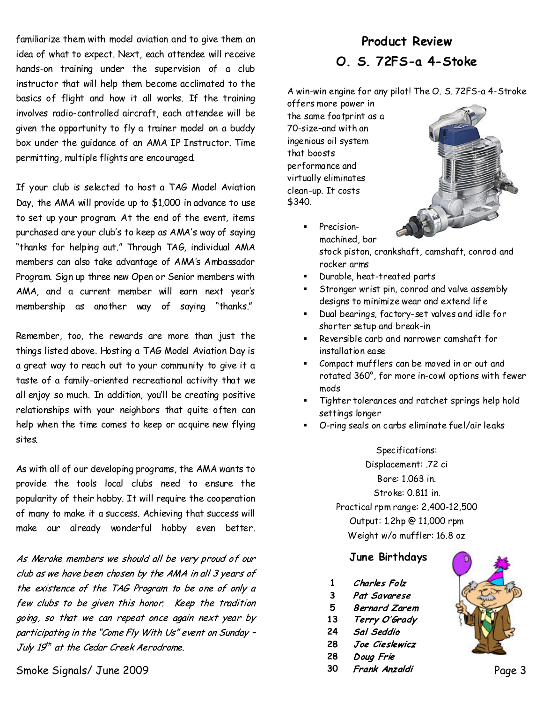familiarize them with model aviation and to give them an idea of what to expect. Next, each attendee will receive hands-on training under the supervision of a club instructor that will help them become acclimated to the basics of flight and how it all works. If the training involves radio-controlled aircraft, each attendee will be given the opportunity to fly a trainer model on a buddy box under the guidance of an AMA IP Instructor. Time permitting, multiple flights are encouraged.

If your club is selected to host a TAG Model Aviation Day, the AMA will provide up to \$1,000 in advance to use to set up your program. At the end of the event, items purchased are your club's to keep as AMA's way of saying "thanks for helping out." Through TAG, individual AMA members can also take advantage of AMA's Ambassador Program. Sign up three new Open or Senior members with AMA, and a current member will earn next year's membership as another way of saying "thanks."

Remember, too, the rewards are more than just the things listed above. Hosting a TAG Model Aviation Day is a great way to reach out to your community to give it a taste of a family-oriented recreational activity that we all enjoy so much. In addition, you'll be creating positive relationships with your neighbors that quite often can help when the time comes to keep or acquire new flying sites.

As with all of our developing programs, the AMA wants to provide the tools local clubs need to ensure the popularity of their hobby. It will require the cooperation of many to make it a success. Achieving that success will make our already wonderful hobby even better.

As Meroke members we should all be very proud of our club as we have been chosen by the AMA in all 3 years of the existence of the TAG Program to be one of only a few clubs to be given this honor. Keep the tradition going, so that we can repeat once again next year by participating in the "Come Fly With Us" event on Sunday -July  $19<sup>th</sup>$  at the Cedar Creek Aerodrome.

Smoke Signals/ June 2009 **Page 3** Page 3

# **Product Review O. S. 72FS-a 4-Stoke**

A win-win engine for any pilot! The O. S. 72FS-a 4-Stroke

offers more power in the same footprint as a 70-size–and with an ingenious oil system that boosts performance and virtually eliminates clean-up. It costs \$340.



- ß Precision machined, bar stock piston, crankshaft, camshaft, conrod and rocker arms
- ß Durable, heat-treated parts
- ß Stronger wrist pin, conrod and valve assembly designs to minimize wear and extend life
- ß Dual bearings, factory-set valves and idle for shorter setup and break-in
- ß Reversible carb and narrower camshaft for installation ease
- ß Compact mufflers can be moved in or out and rotated 360°, for more in-cowl options with fewer mods
- ß Tighter tolerances and ratchet springs help hold settings longer
- ß O-ring seals on carbs eliminate fuel/air leaks

### Specifications: Displacement: .72 ci Bore: 1.063 in. Stroke: 0.811 in. Practical rpm range: 2,400-12,500 Output: 1.2hp @ 11,000 rpm Weight w/o muffler: 16.8 oz

#### **June Birthdays**

- **1** Charles Folz
- **3** Pat Savarese
- **5 Bernard Zarem**
- **13** Terry O'Grady
- **24** Sal Seddio
- **28** Joe Cieslewicz
- **28** Doug Frie
- **30**

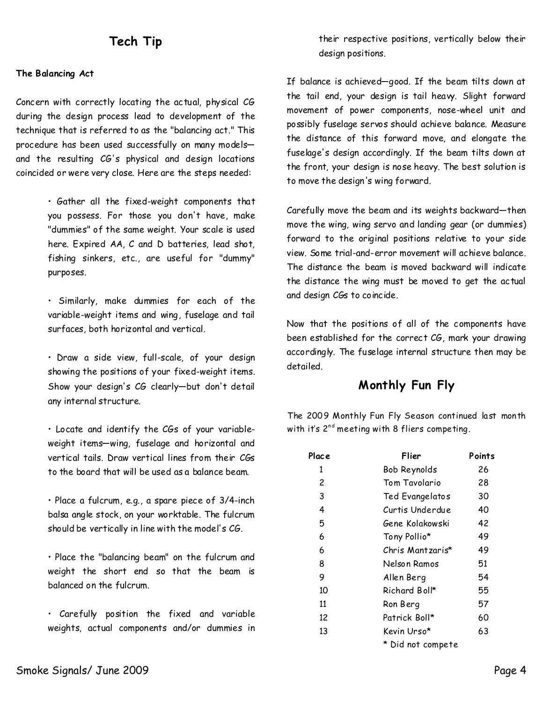# **Tech Tip**

#### **The Balancing Act**

Concern with correctly locating the actual, physical CG during the design process lead to development of the technique that is referred to as the "balancing act." This procedure has been used successfully on many models and the resulting CG's physical and design locations coincided or were very close. Here are the steps needed:

> • Gather all the fixed-weight components that you possess. For those you don't have, make "dummies" of the same weight. Your scale is used here. Expired AA, C and D batteries, lead shot, fishing sinkers, etc., are useful for "dummy" purposes.

> • Similarly, make dummies for each of the variable-weight items and wing, fuselage and tail surfaces, both horizontal and vertical.

> • Draw a side view, full-scale, of your design showing the positions of your fixed-weight items. Show your design's CG clearly—but don't detail any internal structure.

> • Locate and identify the CGs of your variable weight items—wing, fuselage and horizontal and vertical tails. Draw vertical lines from their CGs to the board that will be used as a balance beam.

> • Place a fulcrum, e.g., a spare piece of 3/4-inch balsa angle stock, on your worktable. The fulcrum should be vertically in line with the model's  $CG$ .

• Place the "balancing beam" on the fulcrum and weight the short end so that the beam is balanced on the fulcrum.

• Carefully position the fixed and variable weights, actual components and/or dummies in their respective positions, vertically below their design positions.

If balance is achieved—good. If the beam tilts down at the tail end, your design is tail heavy. Slight forward movement of power components, nose-wheel unit and possibly fuselage servos should achieve balance. Measure the distance of this forward move, and elongate the fuselage's design accordingly. If the beam tilts down at the front, your design is nose heavy. The best solution is to move the design's wing forward.

Carefully move the beam and its weights backward—then move the wing, wing servo and landing gear (or dummies) forward to the original positions relative to your side view. Some trial-and-error movement will achieve balance. The distance the beam is moved backward will indicate the distance the wing must be moved to get the actual and design CGs to coincide.

Now that the positions of all of the components have been established for the correct CG, mark your drawing accordingly. The fuselage internal structure then may be detailed.

### **Monthly Fun Fly**

The 2009 Monthly Fun Fly Season continued last month with it's  $2^{nd}$  meeting with 8 fliers competing.

| Place | Flier             | Points |
|-------|-------------------|--------|
| 1     | Bob Reynolds      | 26     |
| 2     | Tom Tavolario     | 28     |
| 3     | Ted Evangelatos   | 30     |
| 4     | Curtis Underdue   | 40     |
| 5     | Gene Kolakowski   | 42     |
| 6     | Tony Pollio*      | 49     |
| 6     | Chris Mantzaris*  | 49     |
| 8     | Nelson Ramos      | 51     |
| 9     | Allen Berg        | 54     |
| 10    | Richard Boll*     | 55     |
| 11    | Ron Berg          | 57     |
| 12    | Patrick Boll*     | 60     |
| 13    | Kevin Urso*       | 63     |
|       | * Did not compete |        |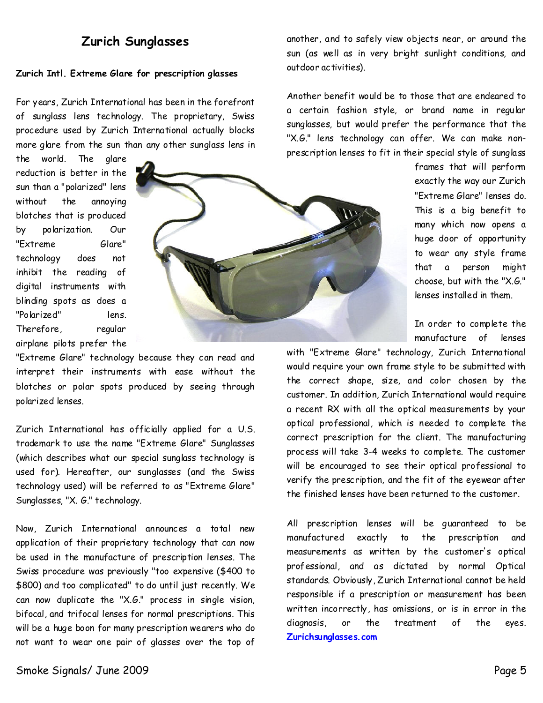### **Zurich Sunglasses**

#### **Zurich Intl. Extreme Glare for prescription glasses**

For years, Zurich International has been in the forefront of sunglass lens technology. The proprietary, Swiss procedure used by Zurich International actually blocks more glare from the sun than any other sunglass lens in

the world. The glare reduction is better in the sun than a "polarized" lens without the annoying blotches that is produced by polarization. Our "Extreme Glare" technology does not inhibit the reading of digital instruments with blinding spots as does a "Polarized" lens. Therefore, regular airplane pilots prefer the



"Extreme Glare" technology because they can read and interpret their instruments with ease without the blotches or polar spots produced by seeing through polarized lenses.

Zurich International has officially applied for a U.S. trademark to use the name "Extreme Glare" Sunglasses (which describes what our special sunglass technology is used for). Hereafter, our sunglasses (and the Swiss technology used) will be referred to as "Extreme Glare" Sunglasses, "X. G." technology.

Now, Zurich International announces a total new application of their proprietary technology that can now be used in the manufacture of prescription lenses. The Swiss procedure was previously "too expensive (\$400 to \$800) and too complicated" to do until just recently. We can now duplicate the "X.G." process in single vision, bifocal, and trifocal lenses for normal prescriptions. This will be a huge boon for many prescription wearers who do not want to wear one pair of glasses over the top of another, and to safely view objects near, or around the sun (as well as in very bright sunlight conditions, and outdoor activities).

Another benefit would be to those that are endeared to a certain fashion style, or brand name in regular sunglasses, but would prefer the performance that the "X.G." lens technology can offer. We can make non prescription lenses to fit in their special style of sunglass

> frames that will perform exactly the way our Zurich "Extreme Glare" lenses do. This is a big benefit to many which now opens a huge door of opportunity to wear any style frame that a person might choose, but with the "X.G." lenses installed in them.

> In order to complete the manufacture of lenses

with "Extreme Glare" technology, Zurich International would require your own frame style to be submitted with the correct shape, size, and color chosen by the customer. In addition, Zurich International would require a recent RX with all the optical measurements by your optical professional, which is needed to complete the correct prescription for the client. The manufacturing process will take 3-4 weeks to complete. The customer will be encouraged to see their optical professional to verify the prescription, and the fit of the eyewear after the finished lenses have been returned to the customer.

All prescription lenses will be guaranteed to be manufactured exactly to the prescription and measurements as written by the customer's optical professional, and as dictated by normal Optical standards. Obviously, Zurich International cannot be held responsible if a prescription or measurement has been written incorrectly, has omissions, or is in error in the diagnosis, or the treatment of the eyes. **Zurichsunglasses.com**